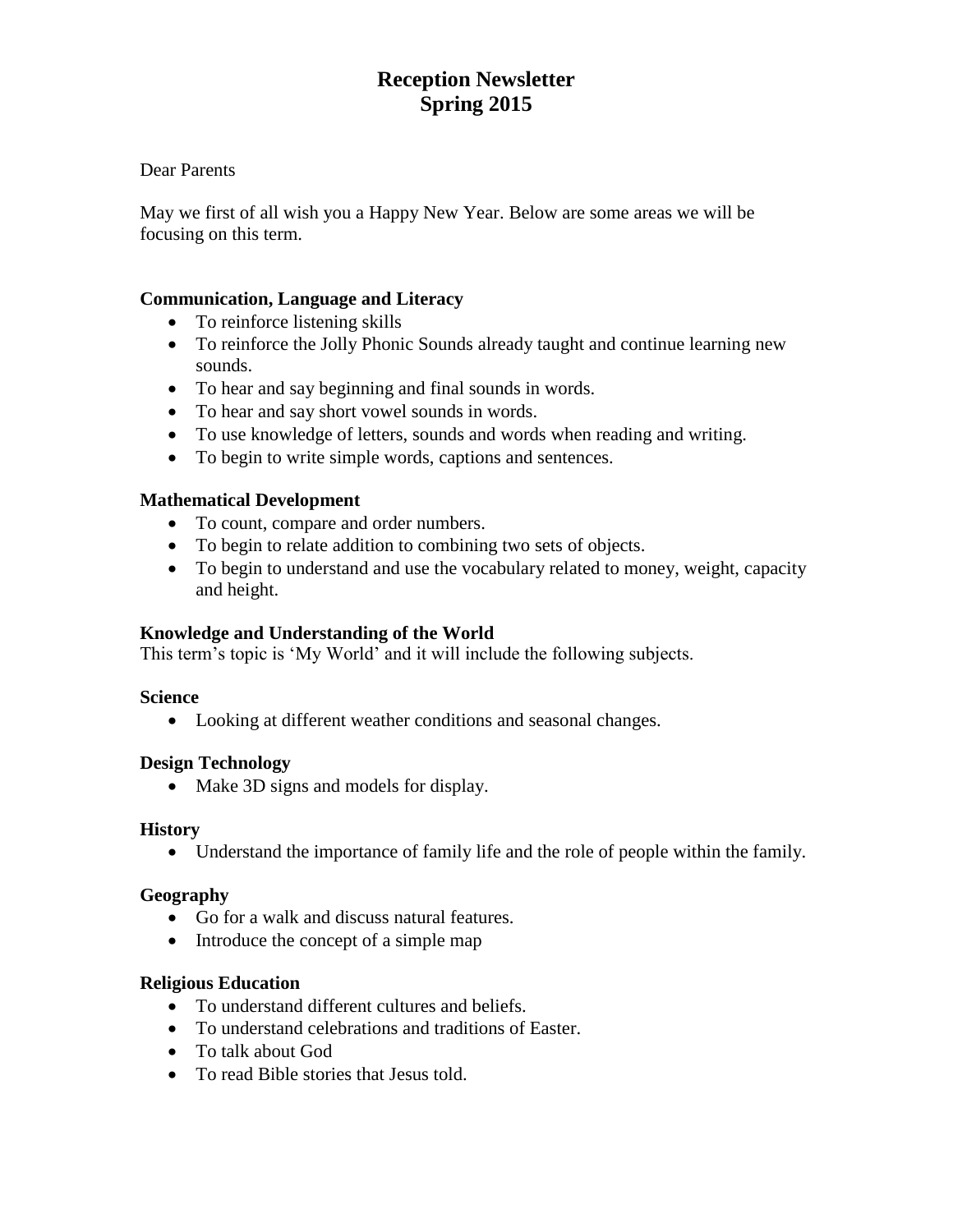# **Reception Newsletter Spring 2015**

## Dear Parents

May we first of all wish you a Happy New Year. Below are some areas we will be focusing on this term.

## **Communication, Language and Literacy**

- To reinforce listening skills
- To reinforce the Jolly Phonic Sounds already taught and continue learning new sounds.
- To hear and say beginning and final sounds in words.
- To hear and say short vowel sounds in words.
- To use knowledge of letters, sounds and words when reading and writing.
- To begin to write simple words, captions and sentences.

## **Mathematical Development**

- To count, compare and order numbers.
- To begin to relate addition to combining two sets of objects.
- To begin to understand and use the vocabulary related to money, weight, capacity and height.

#### **Knowledge and Understanding of the World**

This term's topic is 'My World' and it will include the following subjects.

#### **Science**

Looking at different weather conditions and seasonal changes.

#### **Design Technology**

• Make 3D signs and models for display.

#### **History**

Understand the importance of family life and the role of people within the family.

#### **Geography**

- Go for a walk and discuss natural features.
- Introduce the concept of a simple map

#### **Religious Education**

- To understand different cultures and beliefs.
- To understand celebrations and traditions of Easter.
- To talk about God
- To read Bible stories that Jesus told.